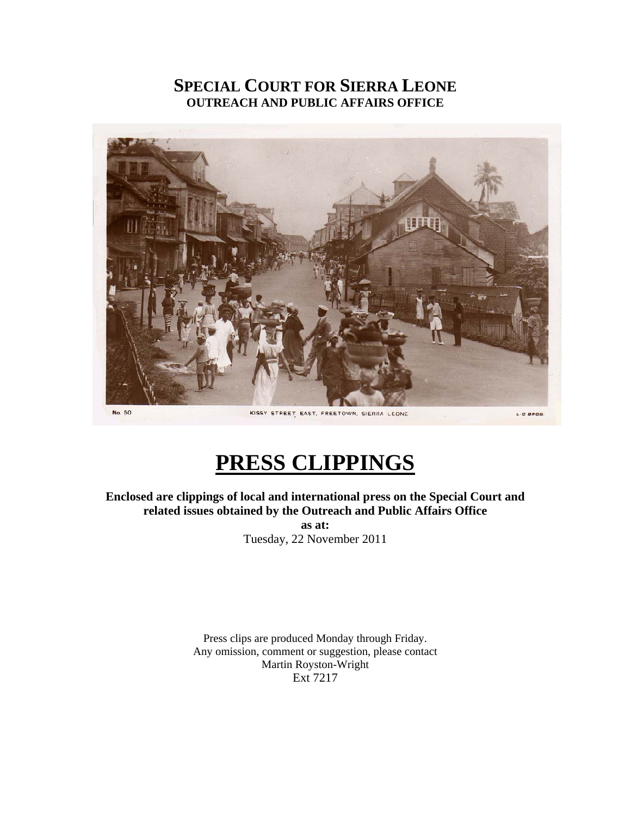### **SPECIAL COURT FOR SIERRA LEONE OUTREACH AND PUBLIC AFFAIRS OFFICE**



# **PRESS CLIPPINGS**

**Enclosed are clippings of local and international press on the Special Court and related issues obtained by the Outreach and Public Affairs Office** 

**as at:**  Tuesday, 22 November 2011

Press clips are produced Monday through Friday. Any omission, comment or suggestion, please contact Martin Royston-Wright Ext 7217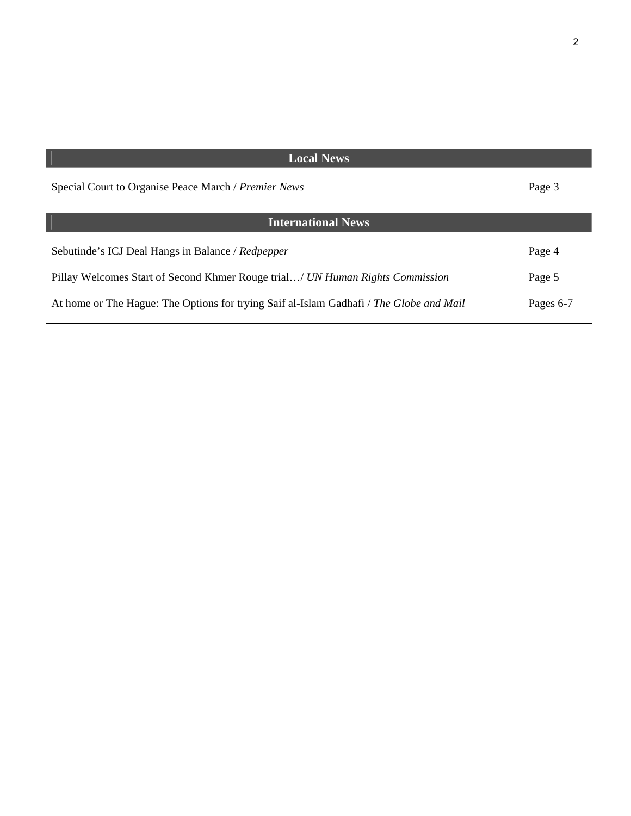| <b>Local News</b>                                                                       |           |
|-----------------------------------------------------------------------------------------|-----------|
| Special Court to Organise Peace March / Premier News                                    | Page 3    |
| <b>International News</b>                                                               |           |
| Sebutinde's ICJ Deal Hangs in Balance / Redpepper                                       | Page 4    |
| Pillay Welcomes Start of Second Khmer Rouge trial/ UN Human Rights Commission           | Page 5    |
| At home or The Hague: The Options for trying Saif al-Islam Gadhafi / The Globe and Mail | Pages 6-7 |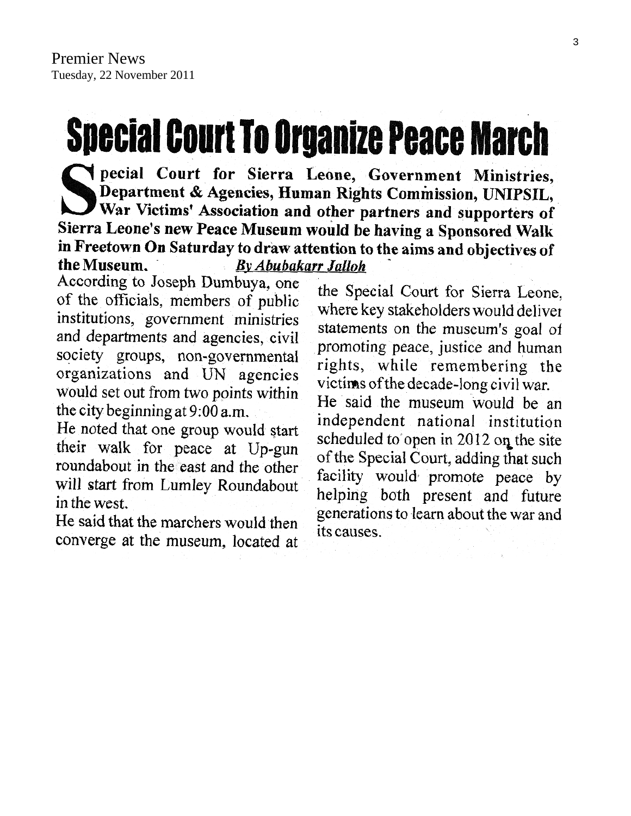# **Special Court To Organize Peace March**

pecial Court for Sierra Leone, Government Ministries, Department & Agencies, Human Rights Commission, UNIPSIL, War Victims' Association and other partners and supporters of Sierra Leone's new Peace Museum would be having a Sponsored Walk in Freetown On Saturday to draw attention to the aims and objectives of the Museum. **By Abubakarr Jalloh** 

According to Joseph Dumbuya, one of the officials, members of public institutions, government ministries and departments and agencies, civil society groups, non-governmental organizations and UN agencies would set out from two points within the city beginning at 9:00 a.m.

He noted that one group would start their walk for peace at Up-gun roundabout in the east and the other will start from Lumley Roundabout in the west.

He said that the marchers would then converge at the museum, located at

the Special Court for Sierra Leone. where key stakeholders would deliver statements on the museum's goal of promoting peace, justice and human rights, while remembering the victims of the decade-long civil war.

He said the museum would be an independent national institution scheduled to open in 2012 on the site of the Special Court, adding that such facility would promote peace by helping both present and future generations to learn about the war and its causes.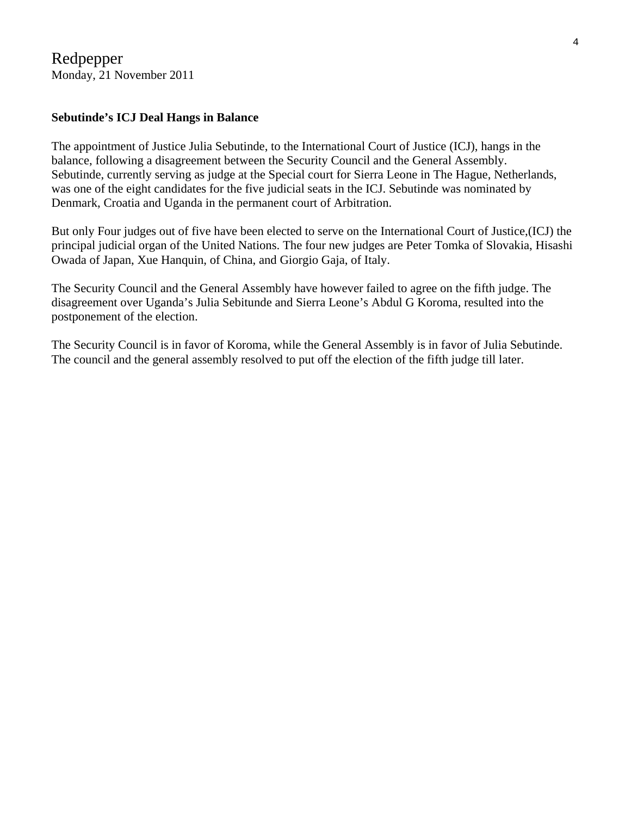#### **Sebutinde's ICJ Deal Hangs in Balance**

The appointment of Justice Julia Sebutinde, to the International Court of Justice (ICJ), hangs in the balance, following a disagreement between the Security Council and the General Assembly. Sebutinde, currently serving as judge at the Special court for Sierra Leone in The Hague, Netherlands, was one of the eight candidates for the five judicial seats in the ICJ. Sebutinde was nominated by Denmark, Croatia and Uganda in the permanent court of Arbitration.

But only Four judges out of five have been elected to serve on the International Court of Justice,(ICJ) the principal judicial organ of the United Nations. The four new judges are Peter Tomka of Slovakia, Hisashi Owada of Japan, Xue Hanquin, of China, and Giorgio Gaja, of Italy.

The Security Council and the General Assembly have however failed to agree on the fifth judge. The disagreement over Uganda's Julia Sebitunde and Sierra Leone's Abdul G Koroma, resulted into the postponement of the election.

The Security Council is in favor of Koroma, while the General Assembly is in favor of Julia Sebutinde. The council and the general assembly resolved to put off the election of the fifth judge till later.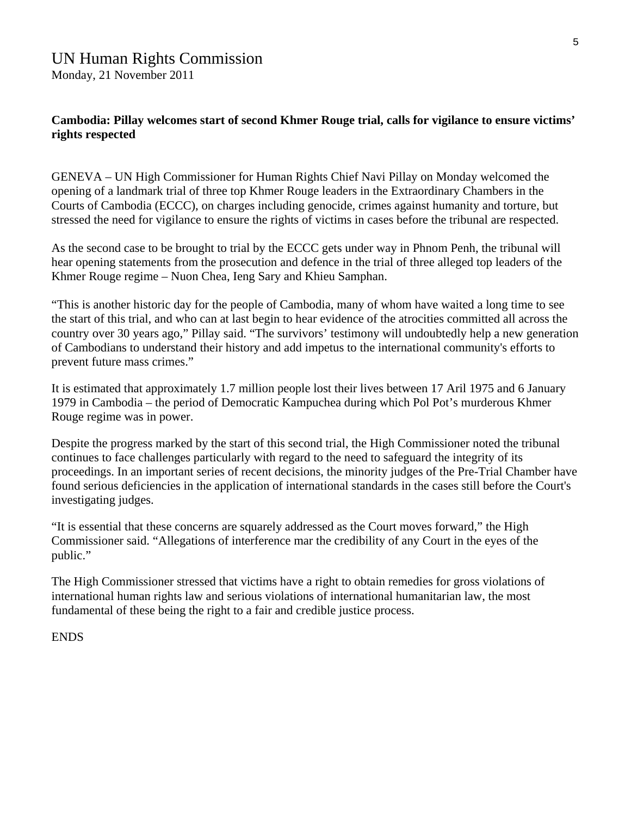## UN Human Rights Commission

Monday, 21 November 2011

#### **Cambodia: Pillay welcomes start of second Khmer Rouge trial, calls for vigilance to ensure victims' rights respected**

GENEVA – UN High Commissioner for Human Rights Chief Navi Pillay on Monday welcomed the opening of a landmark trial of three top Khmer Rouge leaders in the Extraordinary Chambers in the Courts of Cambodia (ECCC), on charges including genocide, crimes against humanity and torture, but stressed the need for vigilance to ensure the rights of victims in cases before the tribunal are respected.

As the second case to be brought to trial by the ECCC gets under way in Phnom Penh, the tribunal will hear opening statements from the prosecution and defence in the trial of three alleged top leaders of the Khmer Rouge regime – Nuon Chea, Ieng Sary and Khieu Samphan.

"This is another historic day for the people of Cambodia, many of whom have waited a long time to see the start of this trial, and who can at last begin to hear evidence of the atrocities committed all across the country over 30 years ago," Pillay said. "The survivors' testimony will undoubtedly help a new generation of Cambodians to understand their history and add impetus to the international community's efforts to prevent future mass crimes."

It is estimated that approximately 1.7 million people lost their lives between 17 Aril 1975 and 6 January 1979 in Cambodia – the period of Democratic Kampuchea during which Pol Pot's murderous Khmer Rouge regime was in power.

Despite the progress marked by the start of this second trial, the High Commissioner noted the tribunal continues to face challenges particularly with regard to the need to safeguard the integrity of its proceedings. In an important series of recent decisions, the minority judges of the Pre-Trial Chamber have found serious deficiencies in the application of international standards in the cases still before the Court's investigating judges.

"It is essential that these concerns are squarely addressed as the Court moves forward," the High Commissioner said. "Allegations of interference mar the credibility of any Court in the eyes of the public."

The High Commissioner stressed that victims have a right to obtain remedies for gross violations of international human rights law and serious violations of international humanitarian law, the most fundamental of these being the right to a fair and credible justice process.

#### ENDS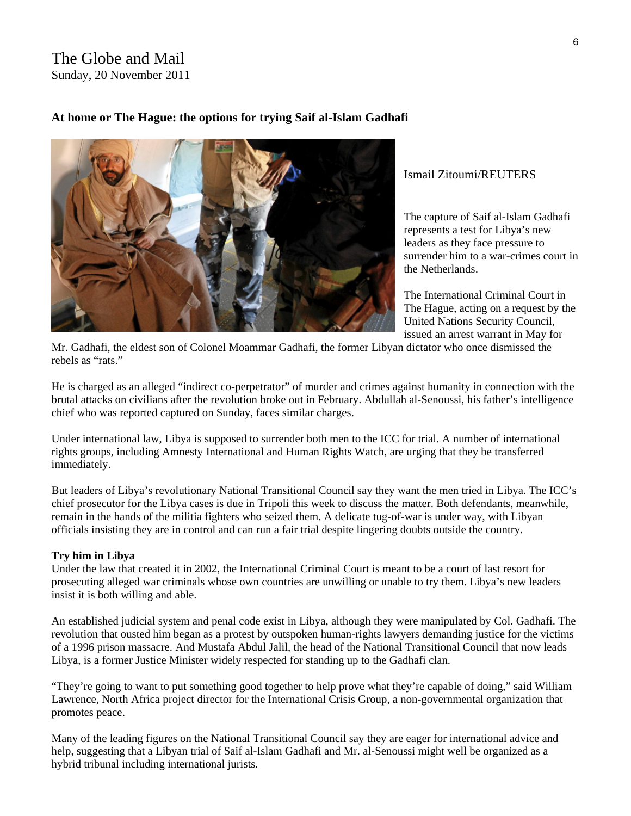#### The Globe and Mail Sunday, 20 November 2011

#### **At home or The Hague: the options for trying Saif al-Islam Gadhafi**



#### Ismail Zitoumi/REUTERS

The capture of Saif al-Islam Gadhafi represents a test for Libya's new leaders as they face pressure to surrender him to a war-crimes court in the Netherlands.

The International Criminal Court in The Hague, acting on a request by the United Nations Security Council, issued an [arrest warrant](http://www.icc-cpi.int/iccdocs/doc/doc1099329.pdf) in May for

Mr. Gadhafi, the eldest son of Colonel Moammar Gadhafi, the former Libyan dictator who once dismissed the rebels as "rats."

He is charged as an alleged "indirect co-perpetrator" of murder and crimes against humanity in connection with the brutal attacks on civilians after the revolution broke out in February. Abdullah al-Senoussi, his father's intelligence chief who was reported captured on Sunday, faces similar charges.

Under international law, Libya is supposed to surrender both men to the ICC for trial. A number of international rights groups, including Amnesty International and Human Rights Watch, are urging that they be transferred immediately.

But leaders of Libya's revolutionary National Transitional Council say they want the men tried in Libya. The ICC's chief prosecutor for the Libya cases is due in Tripoli this week to discuss the matter. Both defendants, meanwhile, remain in the hands of the militia fighters who seized them. A delicate tug-of-war is under way, with Libyan officials insisting they are in control and can run a fair trial despite lingering doubts outside the country.

#### **Try him in Libya**

Under the law that created it in 2002, the International Criminal Court is meant to be a court of last resort for prosecuting alleged war criminals whose own countries are unwilling or unable to try them. Libya's new leaders insist it is both willing and able.

An established judicial system and penal code exist in Libya, although they were manipulated by Col. Gadhafi. The revolution that ousted him began as a protest by outspoken human-rights lawyers demanding justice for the victims of a 1996 prison massacre. And Mustafa Abdul Jalil, the head of the National Transitional Council that now leads Libya, is a former Justice Minister widely respected for standing up to the Gadhafi clan.

"They're going to want to put something good together to help prove what they're capable of doing," said William Lawrence, North Africa project director for the International Crisis Group, a non-governmental organization that promotes peace.

Many of the leading figures on the National Transitional Council say they are eager for international advice and help, suggesting that a Libyan trial of Saif al-Islam Gadhafi and Mr. al-Senoussi might well be organized as a hybrid tribunal including international jurists.